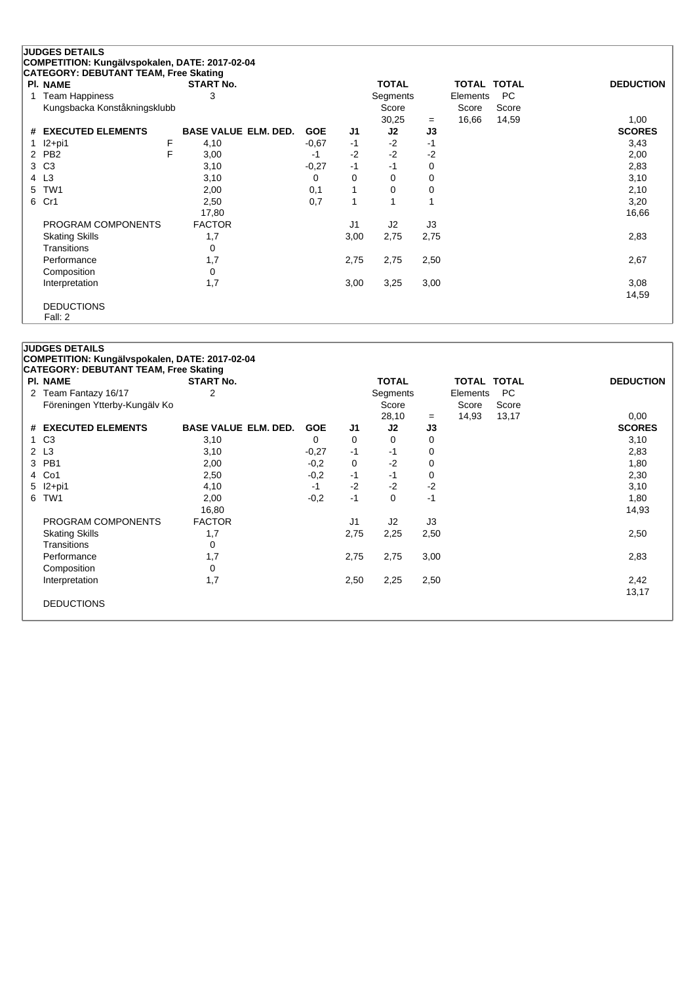|    | <b>JUDGES DETAILS</b>                          |   |                             |            |                |                |      |                    |           |                  |
|----|------------------------------------------------|---|-----------------------------|------------|----------------|----------------|------|--------------------|-----------|------------------|
|    | COMPETITION: Kungälvspokalen, DATE: 2017-02-04 |   |                             |            |                |                |      |                    |           |                  |
|    | <b>CATEGORY: DEBUTANT TEAM, Free Skating</b>   |   |                             |            |                |                |      |                    |           |                  |
|    | <b>PI. NAME</b>                                |   | <b>START No.</b>            |            |                | <b>TOTAL</b>   |      | <b>TOTAL TOTAL</b> |           | <b>DEDUCTION</b> |
| 1  | <b>Team Happiness</b>                          |   | 3                           |            |                | Segments       |      | Elements           | <b>PC</b> |                  |
|    | Kungsbacka Konståkningsklubb                   |   |                             |            |                | Score          |      | Score              | Score     |                  |
|    |                                                |   |                             |            |                | 30,25          | $=$  | 16,66              | 14,59     | 1,00             |
|    | # EXECUTED ELEMENTS                            |   | <b>BASE VALUE ELM. DED.</b> | <b>GOE</b> | J1             | J2             | J3   |                    |           | <b>SCORES</b>    |
|    | $12+pi1$                                       | F | 4,10                        | $-0.67$    | $-1$           | $-2$           | -1   |                    |           | 3,43             |
| 2  | PB <sub>2</sub>                                | F | 3,00                        | $-1$       | $-2$           | $-2$           | $-2$ |                    |           | 2,00             |
| 3  | C <sub>3</sub>                                 |   | 3,10                        | $-0,27$    | $-1$           | $-1$           | 0    |                    |           | 2,83             |
|    | 4 L3                                           |   | 3,10                        | 0          | 0              | 0              | 0    |                    |           | 3,10             |
| 5. | TW <sub>1</sub>                                |   | 2,00                        | 0,1        | 1              | 0              | 0    |                    |           | 2,10             |
| 6  | Cr1                                            |   | 2,50                        | 0,7        | $\mathbf{1}$   |                |      |                    |           | 3,20             |
|    |                                                |   | 17,80                       |            |                |                |      |                    |           | 16,66            |
|    | PROGRAM COMPONENTS                             |   | <b>FACTOR</b>               |            | J <sub>1</sub> | J <sub>2</sub> | J3   |                    |           |                  |
|    | <b>Skating Skills</b>                          |   | 1,7                         |            | 3,00           | 2,75           | 2,75 |                    |           | 2,83             |
|    | Transitions                                    |   | 0                           |            |                |                |      |                    |           |                  |
|    | Performance                                    |   | 1,7                         |            | 2,75           | 2,75           | 2,50 |                    |           | 2,67             |
|    | Composition                                    |   | $\mathbf 0$                 |            |                |                |      |                    |           |                  |
|    | Interpretation                                 |   | 1,7                         |            | 3,00           | 3,25           | 3,00 |                    |           | 3,08             |
|    |                                                |   |                             |            |                |                |      |                    |           | 14,59            |
|    | <b>DEDUCTIONS</b>                              |   |                             |            |                |                |      |                    |           |                  |
|    | Fall: 2                                        |   |                             |            |                |                |      |                    |           |                  |

|             | <b>PI. NAME</b>               | <b>START No.</b>            |            |                | <b>TOTAL</b>   |      | TOTAL TOTAL |           | <b>DEDUCTION</b> |
|-------------|-------------------------------|-----------------------------|------------|----------------|----------------|------|-------------|-----------|------------------|
| $2^{\circ}$ | Team Fantazy 16/17            | 2                           |            |                | Segments       |      | Elements    | <b>PC</b> |                  |
|             | Föreningen Ytterby-Kungälv Ko |                             |            |                | Score          |      | Score       | Score     |                  |
|             |                               |                             |            |                | 28,10          | $=$  | 14,93       | 13,17     | 0,00             |
|             | # EXECUTED ELEMENTS           | <b>BASE VALUE ELM. DED.</b> | <b>GOE</b> | J1             | J <sub>2</sub> | J3   |             |           | <b>SCORES</b>    |
|             | 1 C <sub>3</sub>              | 3,10                        | $\Omega$   | 0              | 0              | 0    |             |           | 3,10             |
| 2 L3        |                               | 3,10                        | $-0,27$    | -1             | $-1$           | 0    |             |           | 2,83             |
| 3           | PB1                           | 2,00                        | $-0,2$     | 0              | $-2$           | 0    |             |           | 1,80             |
| 4           | Co1                           | 2,50                        | $-0,2$     | -1             | -1             | 0    |             |           | 2,30             |
| 5           | $12+pi1$                      | 4,10                        | $-1$       | $-2$           | $-2$           | $-2$ |             |           | 3,10             |
| 6           | TW1                           | 2,00                        | $-0,2$     | $-1$           | 0              | $-1$ |             |           | 1,80             |
|             |                               | 16,80                       |            |                |                |      |             |           | 14,93            |
|             | PROGRAM COMPONENTS            | <b>FACTOR</b>               |            | J <sub>1</sub> | J2             | J3   |             |           |                  |
|             | <b>Skating Skills</b>         | 1,7                         |            | 2,75           | 2,25           | 2,50 |             |           | 2,50             |
|             | Transitions                   | 0                           |            |                |                |      |             |           |                  |
|             | Performance                   | 1,7                         |            | 2,75           | 2,75           | 3,00 |             |           | 2,83             |
|             | Composition                   | 0                           |            |                |                |      |             |           |                  |
|             | Interpretation                | 1,7                         |            | 2,50           | 2,25           | 2,50 |             |           | 2,42             |
|             |                               |                             |            |                |                |      |             |           | 13,17            |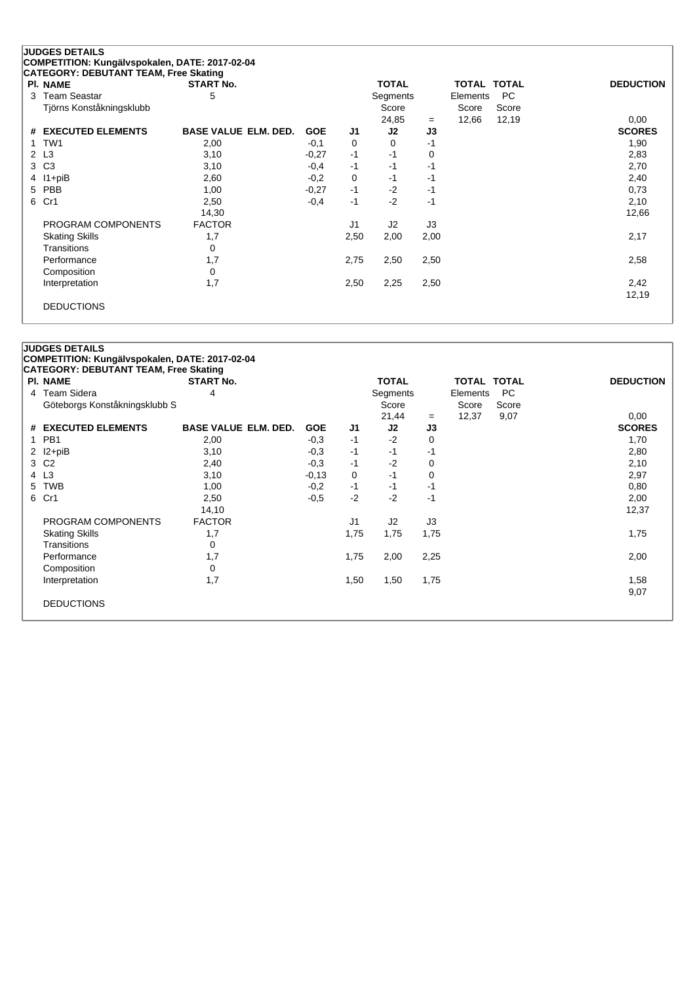|   | <b>JUDGES DETAILS</b>                                           |                             |            |                |              |      |                    |       |                  |  |
|---|-----------------------------------------------------------------|-----------------------------|------------|----------------|--------------|------|--------------------|-------|------------------|--|
|   | COMPETITION: Kungälvspokalen, DATE: 2017-02-04                  |                             |            |                |              |      |                    |       |                  |  |
|   | <b>CATEGORY: DEBUTANT TEAM, Free Skating</b><br><b>PI. NAME</b> | <b>START No.</b>            |            |                | <b>TOTAL</b> |      | <b>TOTAL TOTAL</b> |       | <b>DEDUCTION</b> |  |
| 3 | <b>Team Seastar</b>                                             | 5                           |            |                | Segments     |      | Elements           | PC    |                  |  |
|   | Tjörns Konståkningsklubb                                        |                             |            |                | Score        |      | Score              | Score |                  |  |
|   |                                                                 |                             |            |                | 24,85        | $=$  | 12,66              | 12,19 | 0,00             |  |
| # | <b>EXECUTED ELEMENTS</b>                                        | <b>BASE VALUE ELM. DED.</b> | <b>GOE</b> | J1             | J2           | J3   |                    |       | <b>SCORES</b>    |  |
| 1 | TW <sub>1</sub>                                                 | 2,00                        | $-0.1$     | 0              | 0            | -1   |                    |       | 1,90             |  |
|   | 2 L3                                                            | 3,10                        | $-0,27$    | $-1$           | $-1$         | 0    |                    |       | 2,83             |  |
| 3 | C <sub>3</sub>                                                  | 3,10                        | $-0,4$     | $-1$           | $-1$         | -1   |                    |       | 2,70             |  |
| 4 | $11 + piB$                                                      | 2,60                        | $-0,2$     | 0              | -1           | -1   |                    |       | 2,40             |  |
| 5 | PBB                                                             | 1,00                        | $-0,27$    | $-1$           | $-2$         | -1   |                    |       | 0,73             |  |
| 6 | Cr1                                                             | 2,50                        | $-0,4$     | $-1$           | $-2$         | $-1$ |                    |       | 2,10             |  |
|   |                                                                 | 14,30                       |            |                |              |      |                    |       | 12,66            |  |
|   | PROGRAM COMPONENTS                                              | <b>FACTOR</b>               |            | J <sub>1</sub> | J2           | J3   |                    |       |                  |  |
|   | <b>Skating Skills</b>                                           | 1,7                         |            | 2,50           | 2,00         | 2,00 |                    |       | 2,17             |  |
|   | Transitions                                                     | 0                           |            |                |              |      |                    |       |                  |  |
|   | Performance                                                     | 1,7                         |            | 2,75           | 2,50         | 2,50 |                    |       | 2,58             |  |
|   | Composition                                                     | 0                           |            |                |              |      |                    |       |                  |  |
|   | Interpretation                                                  | 1,7                         |            | 2,50           | 2,25         | 2,50 |                    |       | 2,42             |  |
|   |                                                                 |                             |            |                |              |      |                    |       | 12,19            |  |
|   | <b>DEDUCTIONS</b>                                               |                             |            |                |              |      |                    |       |                  |  |

|              | PI. NAME                      | <b>START No.</b>            |            |                | <b>TOTAL</b> |      | TOTAL TOTAL |       | <b>DEDUCTION</b> |
|--------------|-------------------------------|-----------------------------|------------|----------------|--------------|------|-------------|-------|------------------|
|              | 4 Team Sidera                 | 4                           |            |                | Segments     |      | Elements    | PC    |                  |
|              | Göteborgs Konståkningsklubb S |                             |            |                | Score        |      | Score       | Score |                  |
|              |                               |                             |            |                | 21,44        | $=$  | 12,37       | 9,07  | 0,00             |
|              | # EXECUTED ELEMENTS           | <b>BASE VALUE ELM. DED.</b> | <b>GOE</b> | J1             | J2           | J3   |             |       | <b>SCORES</b>    |
| $\mathbf{1}$ | PB <sub>1</sub>               | 2,00                        | $-0.3$     | -1             | $-2$         | 0    |             |       | 1,70             |
| $\mathbf{2}$ | l2+piB                        | 3,10                        | $-0,3$     | -1             | $-1$         | $-1$ |             |       | 2,80             |
|              | 3 C <sub>2</sub>              | 2,40                        | $-0.3$     | -1             | $-2$         | 0    |             |       | 2,10             |
|              | 4 L3                          | 3,10                        | $-0,13$    | 0              | $-1$         | 0    |             |       | 2,97             |
| 5            | <b>TWB</b>                    | 1,00                        | $-0,2$     | -1             | $-1$         | $-1$ |             |       | 0,80             |
|              | 6 Cr1                         | 2,50                        | $-0,5$     | $-2$           | $-2$         | $-1$ |             |       | 2,00             |
|              |                               | 14,10                       |            |                |              |      |             |       | 12,37            |
|              | PROGRAM COMPONENTS            | <b>FACTOR</b>               |            | J <sub>1</sub> | J2           | J3   |             |       |                  |
|              | <b>Skating Skills</b>         | 1,7                         |            | 1,75           | 1,75         | 1,75 |             |       | 1,75             |
|              | Transitions                   | 0                           |            |                |              |      |             |       |                  |
|              | Performance                   | 1,7                         |            | 1,75           | 2,00         | 2,25 |             |       | 2,00             |
|              | Composition                   | 0                           |            |                |              |      |             |       |                  |
|              | Interpretation                | 1,7                         |            | 1,50           | 1,50         | 1,75 |             |       | 1,58             |
|              |                               |                             |            |                |              |      |             |       | 9,07             |